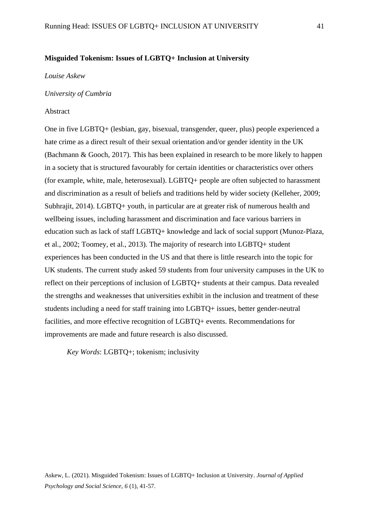# **Misguided Tokenism: Issues of LGBTQ+ Inclusion at University**

#### *Louise Askew*

### *University of Cumbria*

#### Abstract

One in five LGBTQ+ (lesbian, gay, bisexual, transgender, queer, plus) people experienced a hate crime as a direct result of their sexual orientation and/or gender identity in the UK (Bachmann & Gooch, 2017). This has been explained in research to be more likely to happen in a society that is structured favourably for certain identities or characteristics over others (for example, white, male, heterosexual). LGBTQ+ people are often subjected to harassment and discrimination as a result of beliefs and traditions held by wider society (Kelleher, 2009; Subhrajit, 2014). LGBTQ+ youth, in particular are at greater risk of numerous health and wellbeing issues, including harassment and discrimination and face various barriers in education such as lack of staff LGBTQ+ knowledge and lack of social support (Munoz-Plaza, et al., 2002; Toomey, et al., 2013). The majority of research into LGBTQ+ student experiences has been conducted in the US and that there is little research into the topic for UK students. The current study asked 59 students from four university campuses in the UK to reflect on their perceptions of inclusion of LGBTQ+ students at their campus. Data revealed the strengths and weaknesses that universities exhibit in the inclusion and treatment of these students including a need for staff training into LGBTQ+ issues, better gender-neutral facilities, and more effective recognition of LGBTQ+ events. Recommendations for improvements are made and future research is also discussed.

*Key Words*: LGBTQ+; tokenism; inclusivity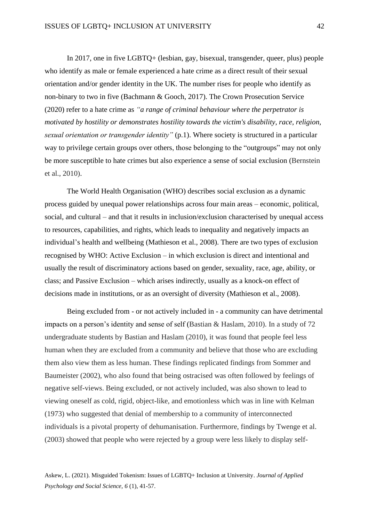In 2017, one in five LGBTQ+ (lesbian, gay, bisexual, transgender, queer, plus) people who identify as male or female experienced a hate crime as a direct result of their sexual orientation and/or gender identity in the UK. The number rises for people who identify as non-binary to two in five (Bachmann & Gooch, 2017). The Crown Prosecution Service (2020) refer to a hate crime as *"a range of criminal behaviour where the perpetrator is motivated by hostility or demonstrates hostility towards the victim's disability, race, religion, sexual orientation or transgender identity"* (p.1). Where society is structured in a particular way to privilege certain groups over others, those belonging to the "outgroups" may not only be more susceptible to hate crimes but also experience a sense of social exclusion (Bernstein et al., 2010).

The World Health Organisation (WHO) describes social exclusion as a dynamic process guided by unequal power relationships across four main areas – economic, political, social, and cultural – and that it results in inclusion/exclusion characterised by unequal access to resources, capabilities, and rights, which leads to inequality and negatively impacts an individual's health and wellbeing (Mathieson et al., 2008). There are two types of exclusion recognised by WHO: Active Exclusion – in which exclusion is direct and intentional and usually the result of discriminatory actions based on gender, sexuality, race, age, ability, or class; and Passive Exclusion – which arises indirectly, usually as a knock-on effect of decisions made in institutions, or as an oversight of diversity (Mathieson et al., 2008).

Being excluded from - or not actively included in - a community can have detrimental impacts on a person's identity and sense of self (Bastian & Haslam, 2010). In a study of 72 undergraduate students by Bastian and Haslam (2010), it was found that people feel less human when they are excluded from a community and believe that those who are excluding them also view them as less human. These findings replicated findings from Sommer and Baumeister (2002), who also found that being ostracised was often followed by feelings of negative self-views. Being excluded, or not actively included, was also shown to lead to viewing oneself as cold, rigid, object-like, and emotionless which was in line with Kelman (1973) who suggested that denial of membership to a community of interconnected individuals is a pivotal property of dehumanisation. Furthermore, findings by Twenge et al. (2003) showed that people who were rejected by a group were less likely to display self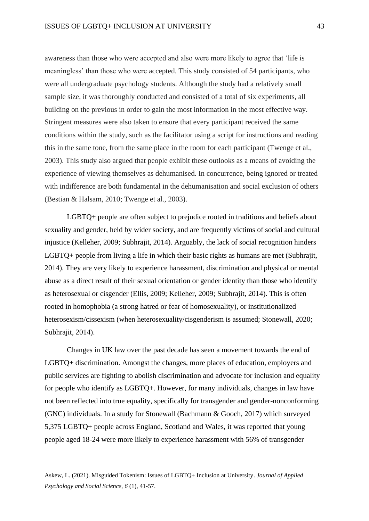awareness than those who were accepted and also were more likely to agree that 'life is meaningless' than those who were accepted. This study consisted of 54 participants, who were all undergraduate psychology students. Although the study had a relatively small sample size, it was thoroughly conducted and consisted of a total of six experiments, all building on the previous in order to gain the most information in the most effective way. Stringent measures were also taken to ensure that every participant received the same conditions within the study, such as the facilitator using a script for instructions and reading this in the same tone, from the same place in the room for each participant (Twenge et al., 2003). This study also argued that people exhibit these outlooks as a means of avoiding the experience of viewing themselves as dehumanised. In concurrence, being ignored or treated with indifference are both fundamental in the dehumanisation and social exclusion of others (Bestian & Halsam, 2010; Twenge et al., 2003).

LGBTQ+ people are often subject to prejudice rooted in traditions and beliefs about sexuality and gender, held by wider society, and are frequently victims of social and cultural injustice (Kelleher, 2009; Subhrajit, 2014). Arguably, the lack of social recognition hinders LGBTQ+ people from living a life in which their basic rights as humans are met (Subhrajit, 2014). They are very likely to experience harassment, discrimination and physical or mental abuse as a direct result of their sexual orientation or gender identity than those who identify as heterosexual or cisgender (Ellis, 2009; Kelleher, 2009; Subhrajit, 2014). This is often rooted in homophobia (a strong hatred or fear of homosexuality), or institutionalized heterosexism/cissexism (when heterosexuality/cisgenderism is assumed; Stonewall, 2020; Subhrajit, 2014).

Changes in UK law over the past decade has seen a movement towards the end of LGBTQ+ discrimination. Amongst the changes, more places of education, employers and public services are fighting to abolish discrimination and advocate for inclusion and equality for people who identify as LGBTQ+. However, for many individuals, changes in law have not been reflected into true equality, specifically for transgender and gender-nonconforming (GNC) individuals. In a study for Stonewall (Bachmann & Gooch, 2017) which surveyed 5,375 LGBTQ+ people across England, Scotland and Wales, it was reported that young people aged 18-24 were more likely to experience harassment with 56% of transgender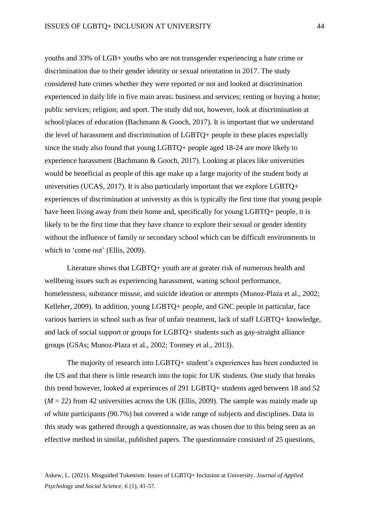youths and 33% of LGB+ youths who are not transgender experiencing a hate crime or discrimination due to their gender identity or sexual orientation in 2017. The study considered hate crimes whether they were reported or not and looked at discrimination experienced in daily life in five main areas: business and services; renting or buying a home; public services; religion; and sport. The study did not, however, look at discrimination at school/places of education (Bachmann & Gooch, 2017). It is important that we understand the level of harassment and discrimination of LGBTQ+ people in these places especially since the study also found that young LGBTQ+ people aged 18-24 are more likely to experience harassment (Bachmann & Gooch, 2017). Looking at places like universities would be beneficial as people of this age make up a large majority of the student body at universities (UCAS, 2017). It is also particularly important that we explore LGBTQ+ experiences of discrimination at university as this is typically the first time that young people have been living away from their home and, specifically for young LGBTQ+ people, it is likely to be the first time that they have chance to explore their sexual or gender identity without the influence of family or secondary school which can be difficult environments in which to 'come out' (Ellis, 2009).

Literature shows that LGBTQ+ youth are at greater risk of numerous health and wellbeing issues such as experiencing harassment, waning school performance, homelessness, substance misuse, and suicide ideation or attempts (Munoz-Plaza et al., 2002; Kelleher, 2009). In addition, young LGBTQ+ people, and GNC people in particular, face various barriers in school such as fear of unfair treatment, lack of staff LGBTQ+ knowledge, and lack of social support or groups for LGBTQ+ students such as gay-straight alliance groups (GSAs; Munoz-Plaza et al., 2002; Toomey et al., 2013).

The majority of research into LGBTQ+ student's experiences has been conducted in the US and that there is little research into the topic for UK students. One study that breaks this trend however, looked at experiences of 291 LGBTQ+ students aged between 18 and 52  $(M = 22)$  from 42 universities across the UK (Ellis, 2009). The sample was mainly made up of white participants (90.7%) but covered a wide range of subjects and disciplines. Data in this study was gathered through a questionnaire, as was chosen due to this being seen as an effective method in similar, published papers. The questionnaire consisted of 25 questions,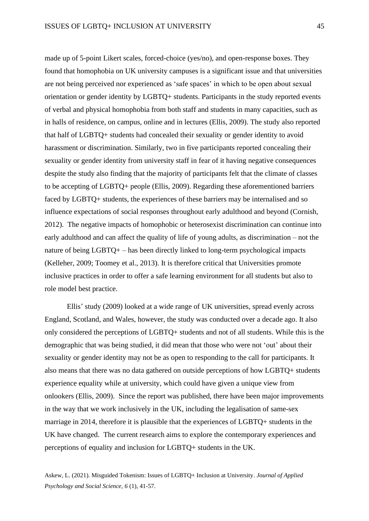made up of 5-point Likert scales, forced-choice (yes/no), and open-response boxes. They found that homophobia on UK university campuses is a significant issue and that universities are not being perceived nor experienced as 'safe spaces' in which to be open about sexual orientation or gender identity by LGBTQ+ students. Participants in the study reported events of verbal and physical homophobia from both staff and students in many capacities, such as in halls of residence, on campus, online and in lectures (Ellis, 2009). The study also reported that half of LGBTQ+ students had concealed their sexuality or gender identity to avoid harassment or discrimination. Similarly, two in five participants reported concealing their sexuality or gender identity from university staff in fear of it having negative consequences despite the study also finding that the majority of participants felt that the climate of classes to be accepting of LGBTQ+ people (Ellis, 2009). Regarding these aforementioned barriers faced by LGBTQ+ students, the experiences of these barriers may be internalised and so influence expectations of social responses throughout early adulthood and beyond (Cornish, 2012). The negative impacts of homophobic or heterosexist discrimination can continue into early adulthood and can affect the quality of life of young adults, as discrimination – not the nature of being LGBTQ+ – has been directly linked to long-term psychological impacts (Kelleher, 2009; Toomey et al., 2013). It is therefore critical that Universities promote inclusive practices in order to offer a safe learning environment for all students but also to role model best practice.

Ellis' study (2009) looked at a wide range of UK universities, spread evenly across England, Scotland, and Wales, however, the study was conducted over a decade ago. It also only considered the perceptions of LGBTQ+ students and not of all students. While this is the demographic that was being studied, it did mean that those who were not 'out' about their sexuality or gender identity may not be as open to responding to the call for participants. It also means that there was no data gathered on outside perceptions of how LGBTQ+ students experience equality while at university, which could have given a unique view from onlookers (Ellis, 2009). Since the report was published, there have been major improvements in the way that we work inclusively in the UK, including the legalisation of same-sex marriage in 2014, therefore it is plausible that the experiences of LGBTQ+ students in the UK have changed. The current research aims to explore the contemporary experiences and perceptions of equality and inclusion for LGBTQ+ students in the UK.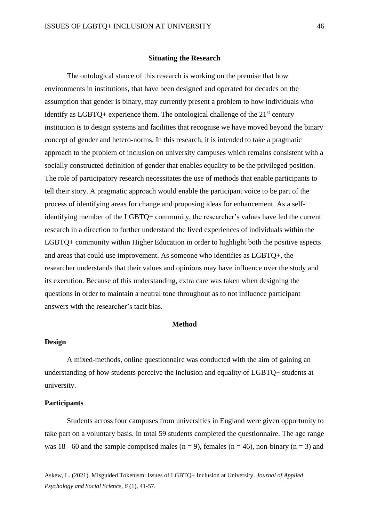## **Situating the Research**

The ontological stance of this research is working on the premise that how environments in institutions, that have been designed and operated for decades on the assumption that gender is binary, may currently present a problem to how individuals who identify as LGBTQ+ experience them. The ontological challenge of the  $21<sup>st</sup>$  century institution is to design systems and facilities that recognise we have moved beyond the binary concept of gender and hetero-norms. In this research, it is intended to take a pragmatic approach to the problem of inclusion on university campuses which remains consistent with a socially constructed definition of gender that enables equality to be the privileged position. The role of participatory research necessitates the use of methods that enable participants to tell their story. A pragmatic approach would enable the participant voice to be part of the process of identifying areas for change and proposing ideas for enhancement. As a selfidentifying member of the LGBTQ+ community, the researcher's values have led the current research in a direction to further understand the lived experiences of individuals within the LGBTQ+ community within Higher Education in order to highlight both the positive aspects and areas that could use improvement. As someone who identifies as LGBTQ+, the researcher understands that their values and opinions may have influence over the study and its execution. Because of this understanding, extra care was taken when designing the questions in order to maintain a neutral tone throughout as to not influence participant answers with the researcher's tacit bias.

## **Method**

## **Design**

A mixed-methods, online questionnaire was conducted with the aim of gaining an understanding of how students perceive the inclusion and equality of LGBTQ+ students at university.

## **Participants**

Students across four campuses from universities in England were given opportunity to take part on a voluntary basis. In total 59 students completed the questionnaire. The age range was 18 - 60 and the sample comprised males ( $n = 9$ ), females ( $n = 46$ ), non-binary ( $n = 3$ ) and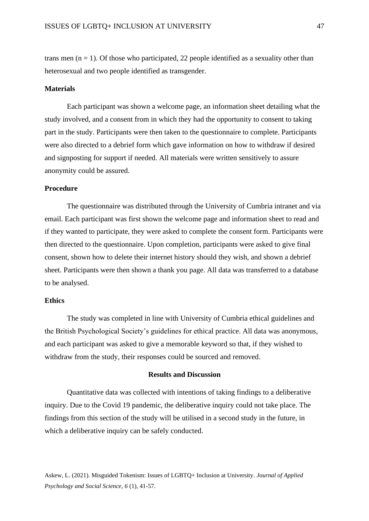trans men ( $n = 1$ ). Of those who participated, 22 people identified as a sexuality other than heterosexual and two people identified as transgender.

## **Materials**

Each participant was shown a welcome page, an information sheet detailing what the study involved, and a consent from in which they had the opportunity to consent to taking part in the study. Participants were then taken to the questionnaire to complete. Participants were also directed to a debrief form which gave information on how to withdraw if desired and signposting for support if needed. All materials were written sensitively to assure anonymity could be assured.

## **Procedure**

The questionnaire was distributed through the University of Cumbria intranet and via email. Each participant was first shown the welcome page and information sheet to read and if they wanted to participate, they were asked to complete the consent form. Participants were then directed to the questionnaire. Upon completion, participants were asked to give final consent, shown how to delete their internet history should they wish, and shown a debrief sheet. Participants were then shown a thank you page. All data was transferred to a database to be analysed.

## **Ethics**

The study was completed in line with University of Cumbria ethical guidelines and the British Psychological Society's guidelines for ethical practice. All data was anonymous, and each participant was asked to give a memorable keyword so that, if they wished to withdraw from the study, their responses could be sourced and removed.

### **Results and Discussion**

Quantitative data was collected with intentions of taking findings to a deliberative inquiry. Due to the Covid 19 pandemic, the deliberative inquiry could not take place. The findings from this section of the study will be utilised in a second study in the future, in which a deliberative inquiry can be safely conducted.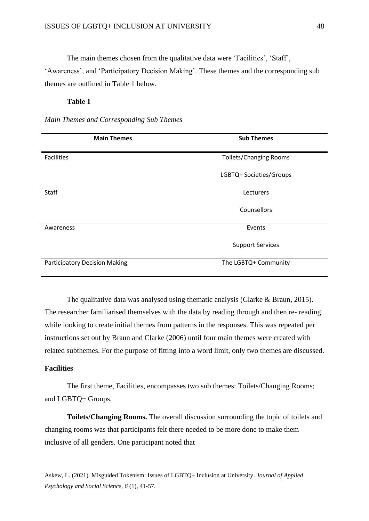The main themes chosen from the qualitative data were 'Facilities', 'Staff',

'Awareness', and 'Participatory Decision Making'. These themes and the corresponding sub themes are outlined in Table 1 below.

# **Table 1**

*Main Themes and Corresponding Sub Themes*

| <b>Main Themes</b>                   | <b>Sub Themes</b>             |
|--------------------------------------|-------------------------------|
| Facilities                           | <b>Toilets/Changing Rooms</b> |
|                                      | LGBTQ+ Societies/Groups       |
| Staff                                | Lecturers                     |
|                                      | Counsellors                   |
| Awareness                            | Events                        |
|                                      | <b>Support Services</b>       |
| <b>Participatory Decision Making</b> | The LGBTQ+ Community          |

The qualitative data was analysed using thematic analysis (Clarke & Braun, 2015). The researcher familiarised themselves with the data by reading through and then re- reading while looking to create initial themes from patterns in the responses. This was repeated per instructions set out by Braun and Clarke (2006) until four main themes were created with related subthemes. For the purpose of fitting into a word limit, only two themes are discussed.

# **Facilities**

The first theme, Facilities, encompasses two sub themes: Toilets/Changing Rooms; and LGBTQ+ Groups.

**Toilets/Changing Rooms.** The overall discussion surrounding the topic of toilets and changing rooms was that participants felt there needed to be more done to make them inclusive of all genders. One participant noted that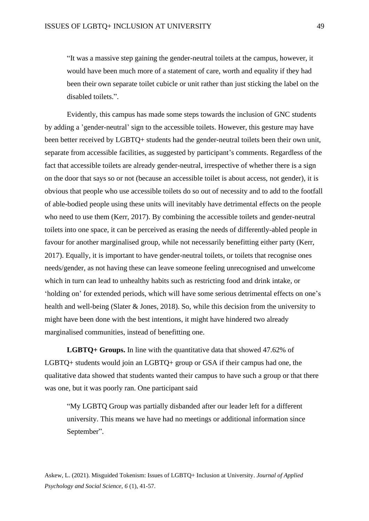"It was a massive step gaining the gender-neutral toilets at the campus, however, it would have been much more of a statement of care, worth and equality if they had been their own separate toilet cubicle or unit rather than just sticking the label on the disabled toilets.".

Evidently, this campus has made some steps towards the inclusion of GNC students by adding a 'gender-neutral' sign to the accessible toilets. However, this gesture may have been better received by LGBTQ+ students had the gender-neutral toilets been their own unit, separate from accessible facilities, as suggested by participant's comments. Regardless of the fact that accessible toilets are already gender-neutral, irrespective of whether there is a sign on the door that says so or not (because an accessible toilet is about access, not gender), it is obvious that people who use accessible toilets do so out of necessity and to add to the footfall of able-bodied people using these units will inevitably have detrimental effects on the people who need to use them (Kerr, 2017). By combining the accessible toilets and gender-neutral toilets into one space, it can be perceived as erasing the needs of differently-abled people in favour for another marginalised group, while not necessarily benefitting either party (Kerr, 2017). Equally, it is important to have gender-neutral toilets, or toilets that recognise ones needs/gender, as not having these can leave someone feeling unrecognised and unwelcome which in turn can lead to unhealthy habits such as restricting food and drink intake, or 'holding on' for extended periods, which will have some serious detrimental effects on one's health and well-being (Slater & Jones, 2018). So, while this decision from the university to might have been done with the best intentions, it might have hindered two already marginalised communities, instead of benefitting one.

**LGBTQ+ Groups.** In line with the quantitative data that showed 47.62% of LGBTQ+ students would join an LGBTQ+ group or GSA if their campus had one, the qualitative data showed that students wanted their campus to have such a group or that there was one, but it was poorly ran. One participant said

"My LGBTQ Group was partially disbanded after our leader left for a different university. This means we have had no meetings or additional information since September".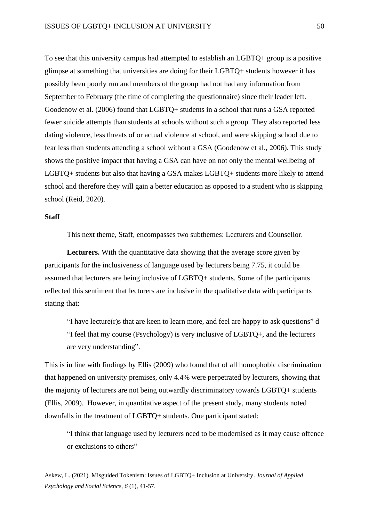To see that this university campus had attempted to establish an LGBTQ+ group is a positive glimpse at something that universities are doing for their LGBTQ+ students however it has possibly been poorly run and members of the group had not had any information from September to February (the time of completing the questionnaire) since their leader left. Goodenow et al. (2006) found that LGBTQ+ students in a school that runs a GSA reported fewer suicide attempts than students at schools without such a group. They also reported less dating violence, less threats of or actual violence at school, and were skipping school due to fear less than students attending a school without a GSA (Goodenow et al., 2006). This study shows the positive impact that having a GSA can have on not only the mental wellbeing of LGBTQ+ students but also that having a GSA makes LGBTQ+ students more likely to attend school and therefore they will gain a better education as opposed to a student who is skipping school (Reid, 2020).

# **Staff**

This next theme, Staff, encompasses two subthemes: Lecturers and Counsellor.

Lecturers. With the quantitative data showing that the average score given by participants for the inclusiveness of language used by lecturers being 7.75, it could be assumed that lecturers are being inclusive of LGBTQ+ students. Some of the participants reflected this sentiment that lecturers are inclusive in the qualitative data with participants stating that:

"I have lecture(r)s that are keen to learn more, and feel are happy to ask questions" d "I feel that my course (Psychology) is very inclusive of LGBTQ+, and the lecturers are very understanding".

This is in line with findings by Ellis (2009) who found that of all homophobic discrimination that happened on university premises, only 4.4% were perpetrated by lecturers, showing that the majority of lecturers are not being outwardly discriminatory towards LGBTQ+ students (Ellis, 2009). However, in quantitative aspect of the present study, many students noted downfalls in the treatment of LGBTQ+ students. One participant stated:

"I think that language used by lecturers need to be modernised as it may cause offence or exclusions to others"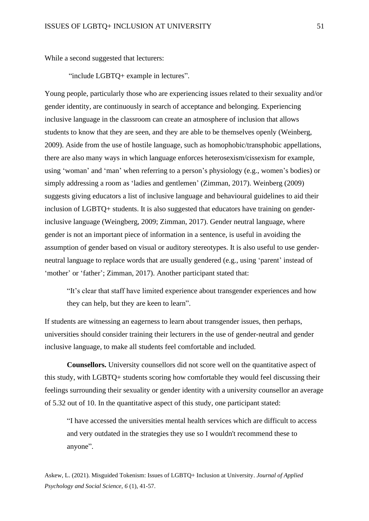While a second suggested that lecturers:

"include LGBTQ+ example in lectures".

Young people, particularly those who are experiencing issues related to their sexuality and/or gender identity, are continuously in search of acceptance and belonging. Experiencing inclusive language in the classroom can create an atmosphere of inclusion that allows students to know that they are seen, and they are able to be themselves openly (Weinberg, 2009). Aside from the use of hostile language, such as homophobic/transphobic appellations, there are also many ways in which language enforces heterosexism/cissexism for example, using 'woman' and 'man' when referring to a person's physiology (e.g., women's bodies) or simply addressing a room as 'ladies and gentlemen' (Zimman, 2017). Weinberg (2009) suggests giving educators a list of inclusive language and behavioural guidelines to aid their inclusion of LGBTQ+ students. It is also suggested that educators have training on genderinclusive language (Weingberg, 2009; Zimman, 2017). Gender neutral language, where gender is not an important piece of information in a sentence, is useful in avoiding the assumption of gender based on visual or auditory stereotypes. It is also useful to use genderneutral language to replace words that are usually gendered (e.g., using 'parent' instead of 'mother' or 'father'; Zimman, 2017). Another participant stated that:

"It's clear that staff have limited experience about transgender experiences and how they can help, but they are keen to learn".

If students are witnessing an eagerness to learn about transgender issues, then perhaps, universities should consider training their lecturers in the use of gender-neutral and gender inclusive language, to make all students feel comfortable and included.

**Counsellors.** University counsellors did not score well on the quantitative aspect of this study, with LGBTQ+ students scoring how comfortable they would feel discussing their feelings surrounding their sexuality or gender identity with a university counsellor an average of 5.32 out of 10. In the quantitative aspect of this study, one participant stated:

"I have accessed the universities mental health services which are difficult to access and very outdated in the strategies they use so I wouldn't recommend these to anyone".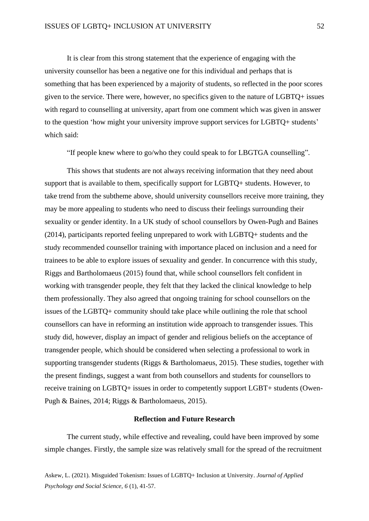It is clear from this strong statement that the experience of engaging with the university counsellor has been a negative one for this individual and perhaps that is something that has been experienced by a majority of students, so reflected in the poor scores given to the service. There were, however, no specifics given to the nature of LGBTQ+ issues with regard to counselling at university, apart from one comment which was given in answer to the question 'how might your university improve support services for LGBTQ+ students' which said:

"If people knew where to go/who they could speak to for LBGTGA counselling".

This shows that students are not always receiving information that they need about support that is available to them, specifically support for LGBTQ+ students. However, to take trend from the subtheme above, should university counsellors receive more training, they may be more appealing to students who need to discuss their feelings surrounding their sexuality or gender identity. In a UK study of school counsellors by Owen-Pugh and Baines (2014), participants reported feeling unprepared to work with LGBTQ+ students and the study recommended counsellor training with importance placed on inclusion and a need for trainees to be able to explore issues of sexuality and gender. In concurrence with this study, Riggs and Bartholomaeus (2015) found that, while school counsellors felt confident in working with transgender people, they felt that they lacked the clinical knowledge to help them professionally. They also agreed that ongoing training for school counsellors on the issues of the LGBTQ+ community should take place while outlining the role that school counsellors can have in reforming an institution wide approach to transgender issues. This study did, however, display an impact of gender and religious beliefs on the acceptance of transgender people, which should be considered when selecting a professional to work in supporting transgender students (Riggs & Bartholomaeus, 2015). These studies, together with the present findings, suggest a want from both counsellors and students for counsellors to receive training on LGBTQ+ issues in order to competently support LGBT+ students (Owen-Pugh & Baines, 2014; Riggs & Bartholomaeus, 2015).

## **Reflection and Future Research**

The current study, while effective and revealing, could have been improved by some simple changes. Firstly, the sample size was relatively small for the spread of the recruitment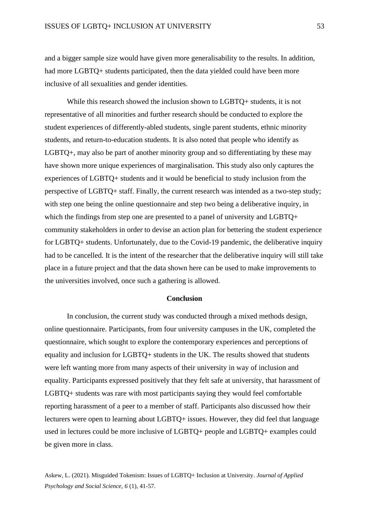and a bigger sample size would have given more generalisability to the results. In addition, had more LGBTQ+ students participated, then the data yielded could have been more inclusive of all sexualities and gender identities.

While this research showed the inclusion shown to LGBTQ+ students, it is not representative of all minorities and further research should be conducted to explore the student experiences of differently-abled students, single parent students, ethnic minority students, and return-to-education students. It is also noted that people who identify as LGBTQ+, may also be part of another minority group and so differentiating by these may have shown more unique experiences of marginalisation. This study also only captures the experiences of LGBTQ+ students and it would be beneficial to study inclusion from the perspective of LGBTQ+ staff. Finally, the current research was intended as a two-step study; with step one being the online questionnaire and step two being a deliberative inquiry, in which the findings from step one are presented to a panel of university and LGBTQ+ community stakeholders in order to devise an action plan for bettering the student experience for LGBTQ+ students. Unfortunately, due to the Covid-19 pandemic, the deliberative inquiry had to be cancelled. It is the intent of the researcher that the deliberative inquiry will still take place in a future project and that the data shown here can be used to make improvements to the universities involved, once such a gathering is allowed.

## **Conclusion**

In conclusion, the current study was conducted through a mixed methods design, online questionnaire. Participants, from four university campuses in the UK, completed the questionnaire, which sought to explore the contemporary experiences and perceptions of equality and inclusion for LGBTQ+ students in the UK. The results showed that students were left wanting more from many aspects of their university in way of inclusion and equality. Participants expressed positively that they felt safe at university, that harassment of LGBTQ+ students was rare with most participants saying they would feel comfortable reporting harassment of a peer to a member of staff. Participants also discussed how their lecturers were open to learning about LGBTQ+ issues. However, they did feel that language used in lectures could be more inclusive of LGBTQ+ people and LGBTQ+ examples could be given more in class.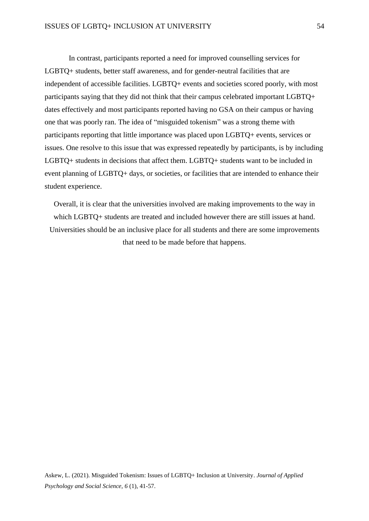In contrast, participants reported a need for improved counselling services for LGBTQ+ students, better staff awareness, and for gender-neutral facilities that are independent of accessible facilities. LGBTQ+ events and societies scored poorly, with most participants saying that they did not think that their campus celebrated important LGBTQ+ dates effectively and most participants reported having no GSA on their campus or having one that was poorly ran. The idea of "misguided tokenism" was a strong theme with participants reporting that little importance was placed upon LGBTQ+ events, services or issues. One resolve to this issue that was expressed repeatedly by participants, is by including LGBTQ+ students in decisions that affect them. LGBTQ+ students want to be included in event planning of LGBTQ+ days, or societies, or facilities that are intended to enhance their student experience.

Overall, it is clear that the universities involved are making improvements to the way in which LGBTQ+ students are treated and included however there are still issues at hand. Universities should be an inclusive place for all students and there are some improvements that need to be made before that happens.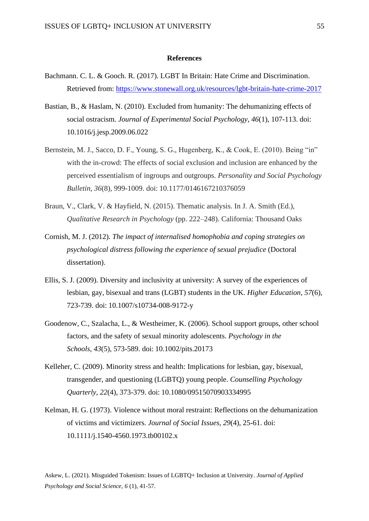## **References**

- Bachmann. C. L. & Gooch. R. (2017). LGBT In Britain: Hate Crime and Discrimination. Retrieved from:<https://www.stonewall.org.uk/resources/lgbt-britain-hate-crime-2017>
- Bastian, B., & Haslam, N. (2010). Excluded from humanity: The dehumanizing effects of social ostracism. *Journal of Experimental Social Psychology*, *46*(1), 107-113. doi: 10.1016/j.jesp.2009.06.022
- Bernstein, M. J., Sacco, D. F., Young, S. G., Hugenberg, K., & Cook, E. (2010). Being "in" with the in-crowd: The effects of social exclusion and inclusion are enhanced by the perceived essentialism of ingroups and outgroups. *Personality and Social Psychology Bulletin*, *36*(8), 999-1009. doi: 10.1177/0146167210376059
- Braun, V., Clark, V. & Hayfield, N. (2015). Thematic analysis. In J. A. Smith (Ed.), *Qualitative Research in Psychology* (pp. 222–248). California: Thousand Oaks
- Cornish, M. J. (2012). *The impact of internalised homophobia and coping strategies on psychological distress following the experience of sexual prejudice* (Doctoral dissertation).
- Ellis, S. J. (2009). Diversity and inclusivity at university: A survey of the experiences of lesbian, gay, bisexual and trans (LGBT) students in the UK. *Higher Education*, *57*(6), 723-739. doi: 10.1007/s10734-008-9172-y
- Goodenow, C., Szalacha, L., & Westheimer, K. (2006). School support groups, other school factors, and the safety of sexual minority adolescents. *Psychology in the Schools*, *43*(5), 573-589. doi: 10.1002/pits.20173
- Kelleher, C. (2009). Minority stress and health: Implications for lesbian, gay, bisexual, transgender, and questioning (LGBTQ) young people. *Counselling Psychology Quarterly*, *22*(4), 373-379. doi: 10.1080/09515070903334995
- Kelman, H. G. (1973). Violence without moral restraint: Reflections on the dehumanization of victims and victimizers. *Journal of Social Issues*, *29*(4), 25-61. doi: 10.1111/j.1540-4560.1973.tb00102.x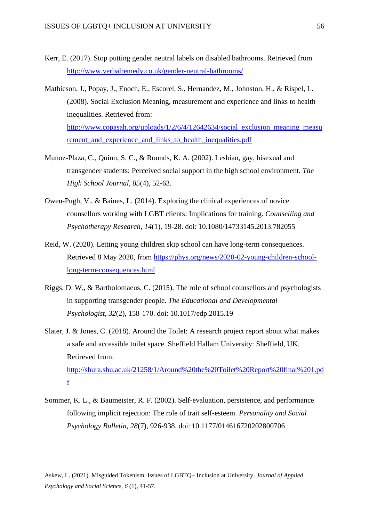- Kerr, E. (2017). Stop putting gender neutral labels on disabled bathrooms. Retrieved from <http://www.verbalremedy.co.uk/gender-neutral-bathrooms/>
- Mathieson, J., Popay, J., Enoch, E., Escorel, S., Hernandez, M., Johnston, H., & Rispel, L. (2008). Social Exclusion Meaning, measurement and experience and links to health inequalities. Retrieved from: [http://www.copasah.org/uploads/1/2/6/4/12642634/social\\_exclusion\\_meaning\\_measu](http://www.copasah.org/uploads/1/2/6/4/12642634/social_exclusion_meaning_measurement_and_experience_and_links_to_health_inequalities.pdf) rement and experience and links to health inequalities.pdf
- Munoz-Plaza, C., Quinn, S. C., & Rounds, K. A. (2002). Lesbian, gay, bisexual and transgender students: Perceived social support in the high school environment. *The High School Journal*, *85*(4), 52-63.
- Owen-Pugh, V., & Baines, L. (2014). Exploring the clinical experiences of novice counsellors working with LGBT clients: Implications for training. *Counselling and Psychotherapy Research*, *14*(1), 19-28. doi: 10.1080/14733145.2013.782055
- Reid, W. (2020). Letting young children skip school can have long-term consequences. Retrieved 8 May 2020, from [https://phys.org/news/2020-02-young-children-school](https://phys.org/news/2020-02-young-children-school-long-term-consequences.html)[long-term-consequences.html](https://phys.org/news/2020-02-young-children-school-long-term-consequences.html)
- Riggs, D. W., & Bartholomaeus, C. (2015). The role of school counsellors and psychologists in supporting transgender people. *The Educational and Developmental Psychologist*, *32*(2), 158-170. doi: 10.1017/edp.2015.19
- Slater, J. & Jones, C. (2018). Around the Toilet: A research project report about what makes a safe and accessible toilet space. Sheffield Hallam University: Sheffield, UK. Retireved from: [http://shura.shu.ac.uk/21258/1/Around%20the%20Toilet%20Report%20final%201.pd](http://shura.shu.ac.uk/21258/1/Around%20the%20Toilet%20Report%20final%201.pdf) [f](http://shura.shu.ac.uk/21258/1/Around%20the%20Toilet%20Report%20final%201.pdf)
- Sommer, K. L., & Baumeister, R. F. (2002). Self-evaluation, persistence, and performance following implicit rejection: The role of trait self-esteem. *Personality and Social Psychology Bulletin*, *28*(7), 926-938. doi: 10.1177/014616720202800706